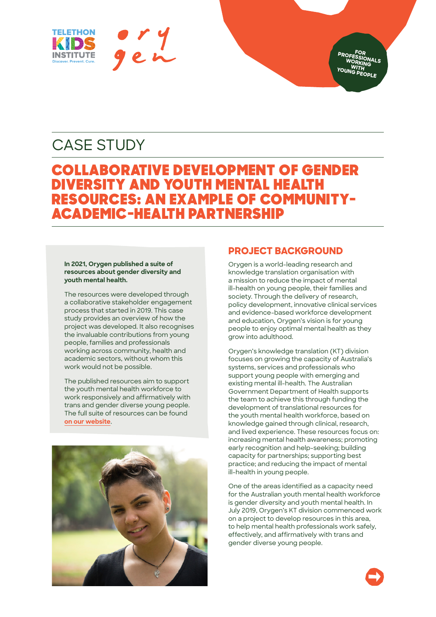

**FOR PROFESSIONALS**  WORKING **WITH YOUNG PEOPLE**

# CASE STUDY

# COLLABORATIVE DEVELOPMENT OF GENDER DIVERSITY AND YOUTH MENTAL HEALTH RESOURCES: AN EXAMPLE OF COMMUNITY-ACADEMIC-HEALTH PARTNERSHIP

#### **In 2021, Orygen published a suite of resources about gender diversity and youth mental health.**

The resources were developed through a collaborative stakeholder engagement process that started in 2019. This case study provides an overview of how the project was developed. It also recognises the invaluable contributions from young people, families and professionals working across community, health and academic sectors, without whom this work would not be possible.

The published resources aim to support the youth mental health workforce to work responsively and affirmatively with trans and gender diverse young people. The full suite of resources can be found **[on our website](https://www.orygen.org.au/Training/Resources/trans-and-gender-diverse-young-people)**.



## **PROJECT BACKGROUND**

Orygen is a world-leading research and knowledge translation organisation with a mission to reduce the impact of mental ill-health on young people, their families and society. Through the delivery of research, policy development, innovative clinical services and evidence-based workforce development and education, Orygen's vision is for young people to enjoy optimal mental health as they grow into adulthood.

Orygen's knowledge translation (KT) division focuses on growing the capacity of Australia's systems, services and professionals who support young people with emerging and existing mental ill-health. The Australian Government Department of Health supports the team to achieve this through funding the development of translational resources for the youth mental health workforce, based on knowledge gained through clinical, research, and lived experience. These resources focus on: increasing mental health awareness; promoting early recognition and help-seeking; building capacity for partnerships; supporting best practice; and reducing the impact of mental ill-health in young people.

One of the areas identified as a capacity need for the Australian youth mental health workforce is gender diversity and youth mental health. In July 2019, Orygen's KT division commenced work on a project to develop resources in this area, to help mental health professionals work safely, effectively, and affirmatively with trans and gender diverse young people.

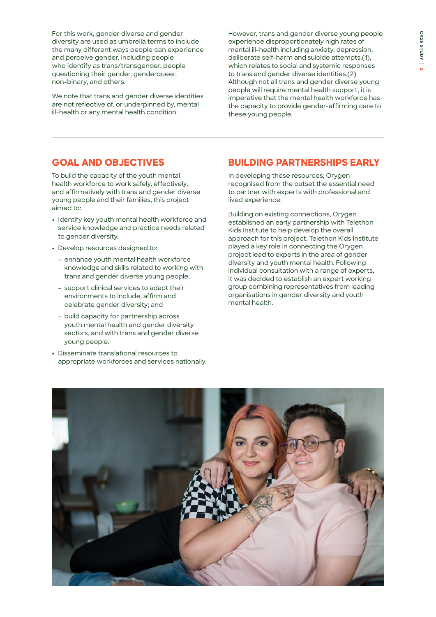For this work, gender diverse and gender diversity are used as umbrella terms to include the many different ways people can experience and perceive gender, including people who identify as trans/transgender, people questioning their gender, genderqueer, non-binary, and others.

We note that trans and gender diverse identities are not reflective of, or underpinned by, mental ill-health or any mental health condition.

However, trans and gender diverse young people experience disproportionately high rates of mental ill-health including anxiety, depression, deliberate self-harm and suicide attempts.(1), which relates to social and systemic responses to trans and gender diverse identities.(2) Although not all trans and gender diverse young people will require mental health support, it is imperative that the mental health workforce has the capacity to provide gender-affirming care to these young people.

### **GOAL AND OBJECTIVES**

To build the capacity of the youth mental health workforce to work safely, effectively, and affirmatively with trans and gender diverse young people and their families, this project aimed to:

- **•** Identify key youth mental health workforce and service knowledge and practice needs related to gender diversity.
- **•** Develop resources designed to:
	- enhance youth mental health workforce knowledge and skills related to working with trans and gender diverse young people;
	- support clinical services to adapt their environments to include, affirm and celebrate gender diversity; and
	- build capacity for partnership across youth mental health and gender diversity sectors, and with trans and gender diverse young people.
- **•** Disseminate translational resources to appropriate workforces and services nationally.

### **BUILDING PARTNERSHIPS EARLY**

In developing these resources, Orygen recognised from the outset the essential need to partner with experts with professional and lived experience.

Building on existing connections, Orygen established an early partnership with Telethon Kids Institute to help develop the overall approach for this project. Telethon Kids Institute played a key role in connecting the Orygen project lead to experts in the area of gender diversity and youth mental health. Following individual consultation with a range of experts, it was decided to establish an expert working group combining representatives from leading organisations in gender diversity and youth mental health.

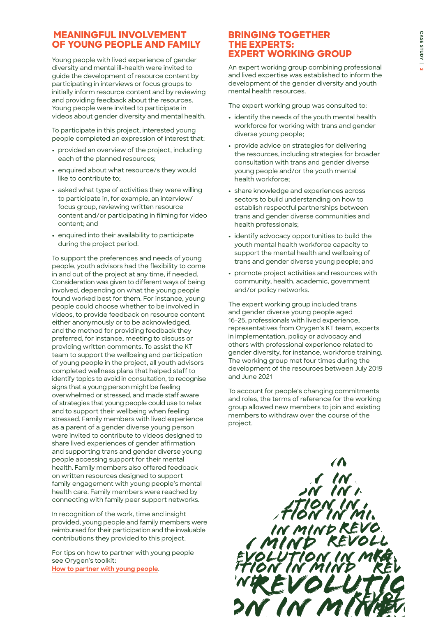## **MEANINGFUL INVOLVEMENT OF YOUNG PEOPLE AND FAMILY**

Young people with lived experience of gender diversity and mental ill-health were invited to guide the development of resource content by participating in interviews or focus groups to initially inform resource content and by reviewing and providing feedback about the resources. Young people were invited to participate in videos about gender diversity and mental health.

To participate in this project, interested young people completed an expression of interest that:

- **•** provided an overview of the project, including each of the planned resources;
- **•** enquired about what resource/s they would like to contribute to;
- **•** asked what type of activities they were willing to participate in, for example, an interview/ focus group, reviewing written resource content and/or participating in filming for video content; and
- **•** enquired into their availability to participate during the project period.

To support the preferences and needs of young people, youth advisors had the flexibility to come in and out of the project at any time, if needed. Consideration was given to different ways of being involved, depending on what the young people found worked best for them. For instance, young people could choose whether to be involved in videos, to provide feedback on resource content either anonymously or to be acknowledged, and the method for providing feedback they preferred, for instance, meeting to discuss or providing written comments. To assist the KT team to support the wellbeing and participation of young people in the project, all youth advisors completed wellness plans that helped staff to identify topics to avoid in consultation, to recognise signs that a young person might be feeling overwhelmed or stressed, and made staff aware of strategies that young people could use to relax and to support their wellbeing when feeling stressed. Family members with lived experience as a parent of a gender diverse young person were invited to contribute to videos designed to share lived experiences of gender affirmation and supporting trans and gender diverse young people accessing support for their mental health. Family members also offered feedback on written resources designed to support family engagement with young people's mental health care. Family members were reached by connecting with family peer support networks.

In recognition of the work, time and insight provided, young people and family members were reimbursed for their participation and the invaluable contributions they provided to this project.

For tips on how to partner with young people see Orygen's toolkit: **[How to partner with young people](https://www.orygen.org.au/About/Youth-Engagement/Resources)**.

#### **BRINGING TOGETHER THE EXPERTS: EXPERT WORKING GROUP**

An expert working group combining professional and lived expertise was established to inform the development of the gender diversity and youth mental health resources.

The expert working group was consulted to:

- **•** identify the needs of the youth mental health workforce for working with trans and gender diverse young people;
- **•** provide advice on strategies for delivering the resources, including strategies for broader consultation with trans and gender diverse young people and/or the youth mental health workforce;
- **•** share knowledge and experiences across sectors to build understanding on how to establish respectful partnerships between trans and gender diverse communities and health professionals;
- **•** identify advocacy opportunities to build the youth mental health workforce capacity to support the mental health and wellbeing of trans and gender diverse young people; and
- **•** promote project activities and resources with community, health, academic, government and/or policy networks.

The expert working group included trans and gender diverse young people aged 16-25, professionals with lived experience, representatives from Orygen's KT team, experts in implementation, policy or advocacy and others with professional experience related to gender diversity, for instance, workforce training. The working group met four times during the development of the resources between July 2019 and June 2021

To account for people's changing commitments and roles, the terms of reference for the working group allowed new members to join and existing members to withdraw over the course of the project.

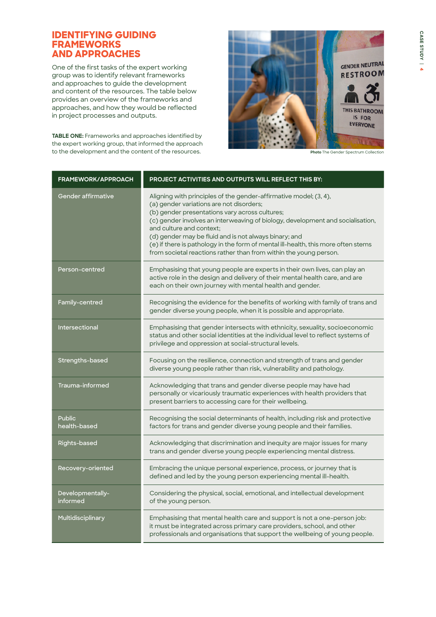### **IDENTIFYING GUIDING FRAMEWORKS AND APPROACHES**

One of the first tasks of the expert working group was to identify relevant frameworks and approaches to guide the development and content of the resources. The table below provides an overview of the frameworks and approaches, and how they would be reflected in project processes and outputs.

**TABLE ONE:** Frameworks and approaches identified by the expert working group, that informed the approach to the development and the content of the resources.



**Photo** The Gender Spectrum Collection

| <b>FRAMEWORK/APPROACH</b>     | PROJECT ACTIVITIES AND OUTPUTS WILL REFLECT THIS BY:                                                                                                                                                                                                                                                                                                                                                                                                                                             |
|-------------------------------|--------------------------------------------------------------------------------------------------------------------------------------------------------------------------------------------------------------------------------------------------------------------------------------------------------------------------------------------------------------------------------------------------------------------------------------------------------------------------------------------------|
| Gender affirmative            | Aligning with principles of the gender-affirmative model; (3, 4),<br>(a) gender variations are not disorders;<br>(b) gender presentations vary across cultures;<br>(c) gender involves an interweaving of biology, development and socialisation,<br>and culture and context;<br>(d) gender may be fluid and is not always binary; and<br>(e) if there is pathology in the form of mental ill-health, this more often stems<br>from societal reactions rather than from within the young person. |
| Person-centred                | Emphasising that young people are experts in their own lives, can play an<br>active role in the design and delivery of their mental health care, and are<br>each on their own journey with mental health and gender.                                                                                                                                                                                                                                                                             |
| Family-centred                | Recognising the evidence for the benefits of working with family of trans and<br>gender diverse young people, when it is possible and appropriate.                                                                                                                                                                                                                                                                                                                                               |
| Intersectional                | Emphasising that gender intersects with ethnicity, sexuality, socioeconomic<br>status and other social identities at the individual level to reflect systems of<br>privilege and oppression at social-structural levels.                                                                                                                                                                                                                                                                         |
| Strengths-based               | Focusing on the resilience, connection and strength of trans and gender<br>diverse young people rather than risk, vulnerability and pathology.                                                                                                                                                                                                                                                                                                                                                   |
| Trauma-informed               | Acknowledging that trans and gender diverse people may have had<br>personally or vicariously traumatic experiences with health providers that<br>present barriers to accessing care for their wellbeing.                                                                                                                                                                                                                                                                                         |
| <b>Public</b><br>health-based | Recognising the social determinants of health, including risk and protective<br>factors for trans and gender diverse young people and their families.                                                                                                                                                                                                                                                                                                                                            |
| Rights-based                  | Acknowledging that discrimination and inequity are major issues for many<br>trans and gender diverse young people experiencing mental distress.                                                                                                                                                                                                                                                                                                                                                  |
| Recovery-oriented             | Embracing the unique personal experience, process, or journey that is<br>defined and led by the young person experiencing mental ill-health.                                                                                                                                                                                                                                                                                                                                                     |
| Developmentally-<br>informed  | Considering the physical, social, emotional, and intellectual development<br>of the young person.                                                                                                                                                                                                                                                                                                                                                                                                |
| Multidisciplinary             | Emphasising that mental health care and support is not a one-person job:<br>it must be integrated across primary care providers, school, and other<br>professionals and organisations that support the wellbeing of young people.                                                                                                                                                                                                                                                                |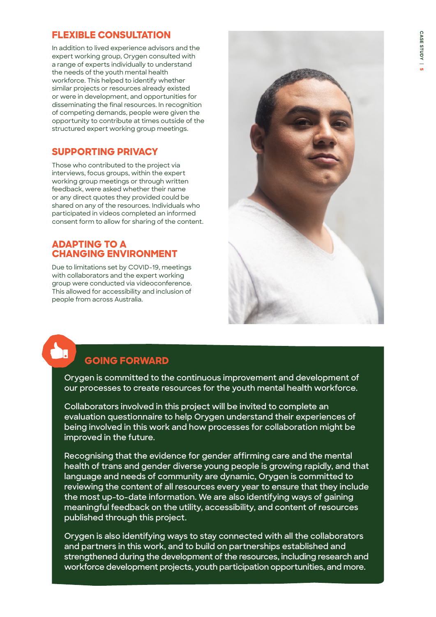# **FLEXIBLE CONSULTATION**

In addition to lived experience advisors and the expert working group, Orygen consulted with a range of experts individually to understand the needs of the youth mental health workforce. This helped to identify whether similar projects or resources already existed or were in development, and opportunities for disseminating the final resources. In recognition of competing demands, people were given the opportunity to contribute at times outside of the structured expert working group meetings.

## **SUPPORTING PRIVACY**

Those who contributed to the project via interviews, focus groups, within the expert working group meetings or through written feedback, were asked whether their name or any direct quotes they provided could be shared on any of the resources. Individuals who participated in videos completed an informed consent form to allow for sharing of the content.

## **ADAPTING TO A CHANGING ENVIRONMENT**

Due to limitations set by COVID-19, meetings with collaborators and the expert working group were conducted via videoconference. This allowed for accessibility and inclusion of people from across Australia.



# **GOING FORWARD**

**Orygen is committed to the continuous improvement and development of our processes to create resources for the youth mental health workforce.** 

**Collaborators involved in this project will be invited to complete an evaluation questionnaire to help Orygen understand their experiences of being involved in this work and how processes for collaboration might be improved in the future.** 

**Recognising that the evidence for gender affirming care and the mental health of trans and gender diverse young people is growing rapidly, and that language and needs of community are dynamic, Orygen is committed to reviewing the content of all resources every year to ensure that they include the most up-to-date information. We are also identifying ways of gaining meaningful feedback on the utility, accessibility, and content of resources published through this project.** 

**Orygen is also identifying ways to stay connected with all the collaborators and partners in this work, and to build on partnerships established and strengthened during the development of the resources, including research and workforce development projects, youth participation opportunities, and more.**